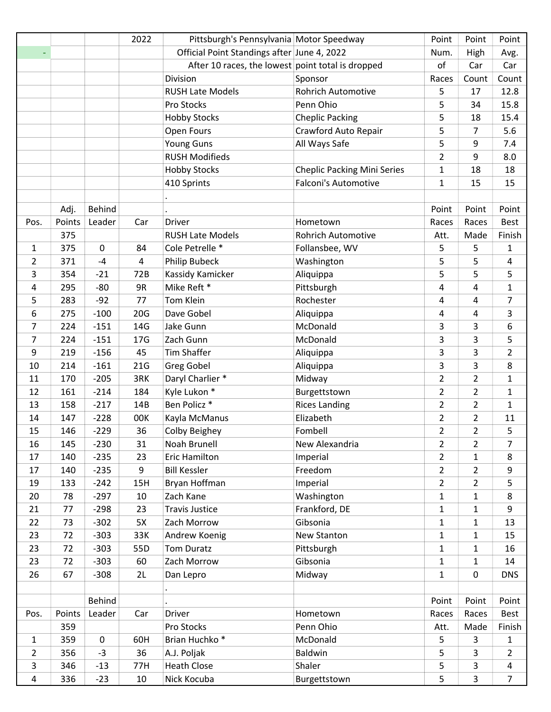|                |        |             | 2022            | Pittsburgh's Pennsylvania Motor Speedway          |                                    | Point          | Point          | Point          |
|----------------|--------|-------------|-----------------|---------------------------------------------------|------------------------------------|----------------|----------------|----------------|
|                |        |             |                 | Official Point Standings after June 4, 2022       |                                    | Num.           | High           | Avg.           |
|                |        |             |                 | After 10 races, the lowest point total is dropped |                                    | of             | Car            | Car            |
|                |        |             |                 | Division                                          | Sponsor                            | Races          | Count          | Count          |
|                |        |             |                 | <b>RUSH Late Models</b>                           | <b>Rohrich Automotive</b>          | 5              | 17             | 12.8           |
|                |        |             |                 | Pro Stocks                                        | Penn Ohio                          | 5              | 34             | 15.8           |
|                |        |             |                 | <b>Hobby Stocks</b>                               | <b>Cheplic Packing</b>             | 5              | 18             | 15.4           |
|                |        |             |                 | Open Fours                                        | Crawford Auto Repair               | 5              | 7              | 5.6            |
|                |        |             |                 | <b>Young Guns</b>                                 | All Ways Safe                      | 5              | 9              | 7.4            |
|                |        |             |                 | <b>RUSH Modifieds</b>                             |                                    | $\overline{2}$ | 9              | 8.0            |
|                |        |             |                 | <b>Hobby Stocks</b>                               | <b>Cheplic Packing Mini Series</b> | $\mathbf{1}$   | 18             | 18             |
|                |        |             |                 | 410 Sprints                                       | <b>Falconi's Automotive</b>        | $\mathbf{1}$   | 15             | 15             |
|                |        |             |                 |                                                   |                                    |                |                |                |
|                | Adj.   | Behind      |                 |                                                   |                                    | Point          | Point          | Point          |
| Pos.           | Points | Leader      | Car             | <b>Driver</b>                                     | Hometown                           | Races          | Races          | <b>Best</b>    |
|                | 375    |             |                 | <b>RUSH Late Models</b>                           | <b>Rohrich Automotive</b>          | Att.           | Made           | Finish         |
| $\mathbf{1}$   | 375    | $\mathbf 0$ | 84              | Cole Petrelle *                                   | Follansbee, WV                     | 5              | 5              | $\mathbf{1}$   |
| 2              | 371    | $-4$        | 4               | Philip Bubeck                                     | Washington                         | 5              | 5              | 4              |
| 3              | 354    | $-21$       | 72B             | Kassidy Kamicker                                  | Aliquippa                          | 5              | 5              | 5              |
| 4              | 295    | -80         | 9R              | Mike Reft *                                       | Pittsburgh                         | 4              | $\overline{4}$ | $\mathbf{1}$   |
| 5              | 283    | $-92$       | 77              | Tom Klein                                         | Rochester                          | 4              | $\overline{4}$ | $\overline{7}$ |
| 6              | 275    | $-100$      | 20G             | Dave Gobel                                        | Aliquippa                          | 4              | 4              | 3              |
| $\overline{7}$ | 224    | $-151$      | 14G             | Jake Gunn                                         | McDonald                           | 3              | 3              | 6              |
| $\overline{7}$ | 224    | $-151$      | 17 <sub>G</sub> | Zach Gunn                                         | McDonald                           | 3              | 3              | 5              |
| 9              | 219    | $-156$      | 45              | <b>Tim Shaffer</b>                                | Aliquippa                          | 3              | 3              | $\overline{2}$ |
| 10             | 214    | $-161$      | 21G             | <b>Greg Gobel</b>                                 | Aliquippa                          | 3              | 3              | 8              |
| 11             | 170    | $-205$      | 3RK             | Daryl Charlier *                                  | Midway                             | $\overline{2}$ | $\overline{2}$ | $\mathbf{1}$   |
| 12             | 161    | $-214$      | 184             | Kyle Lukon *                                      | Burgettstown                       | $\overline{2}$ | $\overline{2}$ | 1              |
| 13             | 158    | $-217$      | 14B             | Ben Policz *                                      | <b>Rices Landing</b>               | $\overline{2}$ | $\overline{2}$ | 1              |
| 14             | 147    | $-228$      | 00K             | Kayla McManus                                     | Elizabeth                          | $\overline{2}$ | $\overline{2}$ | 11             |
| 15             | 146    | $-229$      | 36              | <b>Colby Beighey</b>                              | Fombell                            | $\overline{2}$ | $\overline{2}$ | 5              |
| 16             | 145    | $-230$      | 31              | Noah Brunell                                      | New Alexandria                     | $\overline{2}$ | $\overline{2}$ | 7              |
| 17             | 140    | $-235$      | 23              | Eric Hamilton                                     | Imperial                           | $\overline{2}$ | $\mathbf{1}$   | 8              |
| 17             | 140    | $-235$      | 9               | <b>Bill Kessler</b>                               | Freedom                            | $\overline{2}$ | $\overline{2}$ | 9              |
| 19             | 133    | $-242$      | 15H             | Bryan Hoffman                                     | Imperial                           | $\overline{2}$ | $\overline{2}$ | 5              |
| 20             | 78     | $-297$      | 10              | Zach Kane                                         | Washington                         | $\mathbf{1}$   | $\mathbf{1}$   | 8              |
| 21             | 77     | $-298$      | 23              | <b>Travis Justice</b>                             | Frankford, DE                      | $\mathbf{1}$   | $\mathbf{1}$   | 9              |
| 22             | 73     | $-302$      | 5X              | Zach Morrow                                       | Gibsonia                           | $\mathbf{1}$   | $\mathbf{1}$   | 13             |
| 23             | 72     | $-303$      | 33K             | Andrew Koenig                                     | New Stanton                        | $\mathbf{1}$   | $\mathbf{1}$   | 15             |
| 23             | 72     | $-303$      | 55D             | Tom Duratz                                        | Pittsburgh                         | $\mathbf{1}$   | $\mathbf{1}$   | 16             |
| 23             | 72     | $-303$      | 60              | Zach Morrow                                       | Gibsonia                           | $\mathbf{1}$   | $\mathbf{1}$   | 14             |
| 26             | 67     | $-308$      | 2L              | Dan Lepro                                         | Midway                             | $\mathbf{1}$   | $\pmb{0}$      | <b>DNS</b>     |
|                |        |             |                 |                                                   |                                    |                |                |                |
|                |        | Behind      |                 |                                                   |                                    | Point          | Point          | Point          |
| Pos.           | Points | Leader      | Car             | <b>Driver</b>                                     | Hometown                           | Races          | Races          | Best           |
|                | 359    |             |                 | Pro Stocks                                        | Penn Ohio                          | Att.           | Made           | Finish         |
| $\mathbf{1}$   | 359    | 0           | 60H             | Brian Huchko <sup>*</sup>                         | McDonald                           | 5              | 3              | $\mathbf{1}$   |
| $\overline{2}$ | 356    | $-3$        | 36              | A.J. Poljak                                       | Baldwin                            | 5              | 3              | $\overline{2}$ |
| 3              | 346    | $-13$       | 77H             | <b>Heath Close</b>                                | Shaler                             | 5              | $\mathsf{3}$   | 4              |
| 4              | 336    | $-23$       | 10              | Nick Kocuba                                       | Burgettstown                       | 5              | 3              | $\overline{7}$ |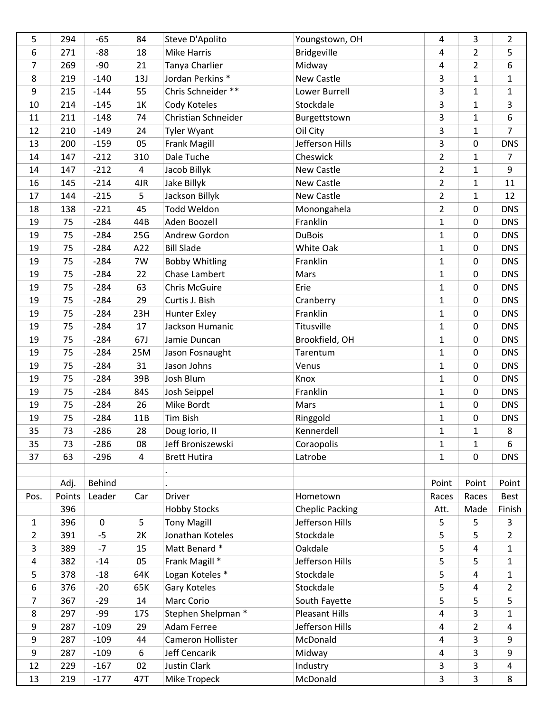| 5              | 294    | $-65$       | 84             | Steve D'Apolito       | Youngstown, OH         | 4              | 3                 | $\overline{2}$  |
|----------------|--------|-------------|----------------|-----------------------|------------------------|----------------|-------------------|-----------------|
| 6              | 271    | $-88$       | 18             | <b>Mike Harris</b>    | <b>Bridgeville</b>     | 4              | $\overline{2}$    | 5               |
| 7              | 269    | $-90$       | 21             | Tanya Charlier        | Midway                 | 4              | $\overline{2}$    | 6               |
| 8              | 219    | $-140$      | 13J            | Jordan Perkins *      | New Castle             | 3              | $\mathbf{1}$      | $\mathbf{1}$    |
| 9              | 215    | $-144$      | 55             | Chris Schneider **    | Lower Burrell          | 3              | $\mathbf{1}$      | $\mathbf{1}$    |
| 10             | 214    | $-145$      | 1K             | Cody Koteles          | Stockdale              | 3              | $\mathbf{1}$      | 3               |
| 11             | 211    | $-148$      | 74             | Christian Schneider   | Burgettstown           | $\overline{3}$ | $\mathbf{1}$      | 6               |
| 12             | 210    | $-149$      | 24             | <b>Tyler Wyant</b>    | Oil City               | 3              | $\mathbf{1}$      | $\overline{7}$  |
| 13             | 200    | $-159$      | 05             | <b>Frank Magill</b>   | Jefferson Hills        | 3              | 0                 | <b>DNS</b>      |
| 14             | 147    | $-212$      | 310            | Dale Tuche            | Cheswick               | $\overline{2}$ | $\mathbf{1}$      | $\overline{7}$  |
| 14             | 147    | $-212$      | 4              | Jacob Billyk          | New Castle             | $\overline{2}$ | $\mathbf{1}$      | 9               |
| 16             | 145    | $-214$      | 4JR            | Jake Billyk           | New Castle             | $\overline{2}$ | $\mathbf{1}$      | 11              |
| 17             | 144    | $-215$      | 5              | Jackson Billyk        | New Castle             | $\overline{2}$ | $\mathbf{1}$      | 12              |
| 18             | 138    | $-221$      | 45             | Todd Weldon           | Monongahela            | $\overline{2}$ | 0                 | <b>DNS</b>      |
| 19             | 75     | $-284$      | 44B            | Aden Boozell          | Franklin               | $\mathbf{1}$   | 0                 | <b>DNS</b>      |
| 19             | 75     | $-284$      | 25G            | Andrew Gordon         | <b>DuBois</b>          | $\mathbf{1}$   | 0                 | <b>DNS</b>      |
| 19             | 75     | $-284$      | A22            | <b>Bill Slade</b>     | White Oak              | $\mathbf{1}$   | 0                 | <b>DNS</b>      |
| 19             | 75     | $-284$      | 7W             | <b>Bobby Whitling</b> | Franklin               | $\mathbf{1}$   | 0                 | <b>DNS</b>      |
| 19             | 75     | $-284$      | 22             | Chase Lambert         | Mars                   | $\mathbf{1}$   | 0                 | <b>DNS</b>      |
| 19             | 75     | $-284$      | 63             | <b>Chris McGuire</b>  | Erie                   | $\mathbf{1}$   | 0                 | <b>DNS</b>      |
| 19             | 75     | $-284$      | 29             | Curtis J. Bish        | Cranberry              | $\mathbf{1}$   | 0                 | <b>DNS</b>      |
| 19             | 75     | $-284$      | 23H            | Hunter Exley          | Franklin               | $\mathbf{1}$   | 0                 | <b>DNS</b>      |
| 19             | 75     | $-284$      | 17             | Jackson Humanic       | Titusville             | $\mathbf{1}$   | 0                 | <b>DNS</b>      |
| 19             | 75     | $-284$      | 67J            | Jamie Duncan          | Brookfield, OH         | $\mathbf{1}$   | 0                 | <b>DNS</b>      |
| 19             | 75     | $-284$      | 25M            | Jason Fosnaught       | Tarentum               | $\mathbf{1}$   | 0                 | <b>DNS</b>      |
| 19             | 75     | $-284$      | 31             | Jason Johns           | Venus                  | $\mathbf{1}$   | 0                 | <b>DNS</b>      |
| 19             | 75     | $-284$      | 39B            | Josh Blum             | Knox                   | $\mathbf{1}$   | 0                 | <b>DNS</b>      |
| 19             | 75     | $-284$      | 84S            | Josh Seippel          | Franklin               | $\mathbf{1}$   | 0                 | <b>DNS</b>      |
| 19             | 75     | $-284$      | 26             | Mike Bordt            | Mars                   | $\mathbf 1$    | $\pmb{0}$         | <b>DNS</b>      |
|                | 75     |             |                | Tim Bish              |                        |                |                   |                 |
| 19             |        | $-284$      | 11B            |                       | Ringgold               | $\mathbf{1}$   | 0<br>$\mathbf{1}$ | <b>DNS</b><br>8 |
| 35             | 73     | $-286$      | 28             | Doug lorio, II        | Kennerdell             | $\mathbf{1}$   |                   |                 |
| 35             | 73     | $-286$      | 08             | Jeff Broniszewski     | Coraopolis             | 1              | 1                 | 6               |
| 37             | 63     | $-296$      | $\overline{4}$ | <b>Brett Hutira</b>   | Latrobe                | $\mathbf{1}$   | 0                 | <b>DNS</b>      |
|                |        |             |                |                       |                        |                |                   |                 |
|                | Adj.   | Behind      |                |                       |                        | Point          | Point             | Point           |
| Pos.           | Points | Leader      | Car            | Driver                | Hometown               | Races          | Races             | Best            |
|                | 396    |             |                | <b>Hobby Stocks</b>   | <b>Cheplic Packing</b> | Att.           | Made              | Finish          |
| $\mathbf{1}$   | 396    | $\mathbf 0$ | 5              | <b>Tony Magill</b>    | Jefferson Hills        | 5              | 5                 | $\mathsf{3}$    |
| $\overline{2}$ | 391    | $-5$        | 2K             | Jonathan Koteles      | Stockdale              | 5              | 5                 | $\overline{2}$  |
| 3              | 389    | $-7$        | 15             | Matt Benard *         | Oakdale                | 5              | 4                 | $\mathbf{1}$    |
| 4              | 382    | $-14$       | 05             | Frank Magill *        | Jefferson Hills        | 5              | 5                 | $\mathbf{1}$    |
| 5              | 378    | $-18$       | 64K            | Logan Koteles *       | Stockdale              | 5              | 4                 | $\mathbf{1}$    |
| 6              | 376    | $-20$       | 65K            | Gary Koteles          | Stockdale              | 5              | 4                 | $\overline{2}$  |
| $\overline{7}$ | 367    | $-29$       | 14             | Marc Corio            | South Fayette          | 5              | 5                 | 5               |
| 8              | 297    | $-99$       | 17S            | Stephen Shelpman *    | Pleasant Hills         | 4              | 3                 | $\mathbf{1}$    |
| 9              | 287    | $-109$      | 29             | Adam Ferree           | Jefferson Hills        | 4              | $\overline{2}$    | 4               |
| 9              | 287    | $-109$      | 44             | Cameron Hollister     | McDonald               | 4              | 3                 | 9               |
| 9              | 287    | $-109$      | 6              | Jeff Cencarik         | Midway                 | 4              | 3                 | 9               |
| 12             | 229    | $-167$      | 02             | <b>Justin Clark</b>   | Industry               | 3              | 3                 | 4               |
| 13             | 219    | $-177$      | 47T            | Mike Tropeck          | McDonald               | $\overline{3}$ | $\overline{3}$    | 8               |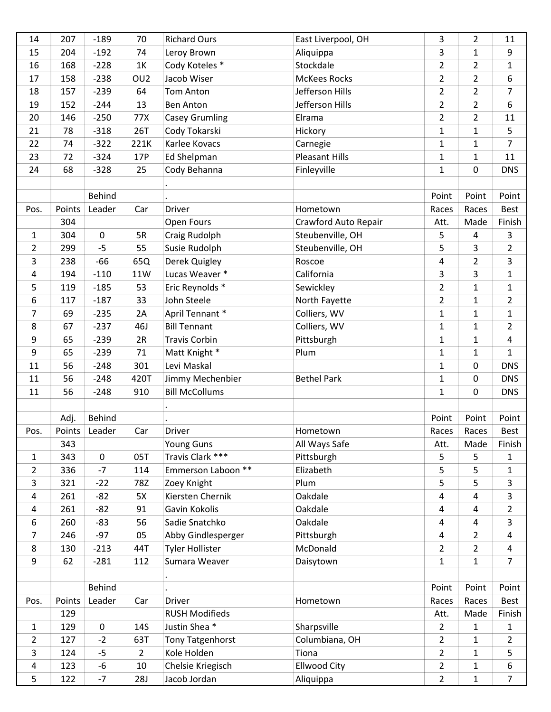| 14             | 207    | $-189$        | 70              | <b>Richard Ours</b>               | East Liverpool, OH    | 3              | $\overline{2}$ | 11                  |
|----------------|--------|---------------|-----------------|-----------------------------------|-----------------------|----------------|----------------|---------------------|
| 15             | 204    | $-192$        | 74              | Leroy Brown                       | Aliquippa             | 3              | $\mathbf{1}$   | 9                   |
| 16             | 168    | $-228$        | 1K              | Cody Koteles *                    | Stockdale             | $\overline{2}$ | $\overline{2}$ | $\mathbf{1}$        |
| 17             | 158    | $-238$        | OU <sub>2</sub> | Jacob Wiser                       | <b>McKees Rocks</b>   | $\overline{2}$ | $\overline{2}$ | 6                   |
| 18             | 157    | $-239$        | 64              | Tom Anton                         | Jefferson Hills       | $\overline{2}$ | $\overline{2}$ | $\overline{7}$      |
| 19             | 152    | $-244$        | 13              | <b>Ben Anton</b>                  | Jefferson Hills       | $\overline{2}$ | $\overline{2}$ | 6                   |
| 20             | 146    | $-250$        | 77X             | <b>Casey Grumling</b>             | Elrama                | $\overline{2}$ | $\overline{2}$ | 11                  |
| 21             | 78     | $-318$        | 26T             | Cody Tokarski                     | Hickory               | $\mathbf 1$    | $\mathbf{1}$   | 5                   |
| 22             | 74     | $-322$        | 221K            | Karlee Kovacs                     | Carnegie              | $\mathbf{1}$   | $\mathbf{1}$   | $\overline{7}$      |
| 23             | 72     | $-324$        | 17P             | Ed Shelpman                       | <b>Pleasant Hills</b> | $\mathbf{1}$   | $\mathbf{1}$   | 11                  |
| 24             | 68     | $-328$        | 25              | Cody Behanna                      | Finleyville           | $\mathbf{1}$   | 0              | <b>DNS</b>          |
|                |        |               |                 |                                   |                       |                |                |                     |
|                |        | <b>Behind</b> |                 |                                   |                       | Point          | Point          | Point               |
| Pos.           | Points | Leader        | Car             | Driver                            | Hometown              | Races          | Races          | <b>Best</b>         |
|                | 304    |               |                 | Open Fours                        | Crawford Auto Repair  | Att.           | Made           | Finish              |
| 1              | 304    | $\mathbf 0$   | 5R              | Craig Rudolph                     | Steubenville, OH      | 5              | 4              | 3                   |
| $\overline{2}$ | 299    | $-5$          | 55              | Susie Rudolph                     | Steubenville, OH      | 5              | 3              | $\overline{2}$      |
| 3              | 238    | $-66$         | 65Q             | Derek Quigley                     | Roscoe                | 4              | $\overline{2}$ | 3                   |
| 4              | 194    | $-110$        | 11W             | Lucas Weaver *                    | California            | 3              | 3              | $\mathbf{1}$        |
| 5              | 119    | $-185$        | 53              | Eric Reynolds *                   | Sewickley             | $\overline{2}$ | $\mathbf{1}$   | $\mathbf{1}$        |
| 6              | 117    | $-187$        | 33              | John Steele                       | North Fayette         | $\overline{2}$ | $\mathbf{1}$   | $\overline{2}$      |
| 7              | 69     | $-235$        | 2A              | April Tennant *                   | Colliers, WV          | $\mathbf{1}$   | $\mathbf{1}$   | $\mathbf{1}$        |
| 8              | 67     | $-237$        | 46J             | <b>Bill Tennant</b>               | Colliers, WV          | $\mathbf{1}$   | $\mathbf{1}$   | $\overline{2}$      |
| 9              | 65     | $-239$        | 2R              | <b>Travis Corbin</b>              | Pittsburgh            | $\mathbf{1}$   | $\mathbf{1}$   | 4                   |
| 9              | 65     | $-239$        | 71              | Matt Knight *                     | Plum                  | $\mathbf{1}$   | $\mathbf{1}$   | $\mathbf{1}$        |
| 11             | 56     | $-248$        | 301             | Levi Maskal                       |                       | $\mathbf{1}$   | 0              |                     |
|                |        |               |                 |                                   |                       |                |                | <b>DNS</b>          |
| 11             | 56     | $-248$        | 420T            | Jimmy Mechenbier                  | <b>Bethel Park</b>    | $\mathbf{1}$   | 0              | <b>DNS</b>          |
| 11             | 56     | $-248$        | 910             | <b>Bill McCollums</b>             |                       | $\mathbf{1}$   | 0              | <b>DNS</b>          |
|                |        |               |                 |                                   |                       |                |                |                     |
|                | Adj.   | <b>Behind</b> |                 |                                   |                       | Point          | Point          | Point               |
| Pos.           | Points | Leader        | Car             | <b>Driver</b>                     | Hometown              | Races          | Races          | Best                |
|                | 343    |               |                 | <b>Young Guns</b>                 | All Ways Safe         | Att.           | Made           | Finish              |
| $\mathbf{1}$   | 343    | $\mathbf 0$   | 05T             | Travis Clark ***                  | Pittsburgh            | 5              | 5              | $\mathbf{1}$        |
| 2              | 336    | $-7$          | 114             | Emmerson Laboon **                | Elizabeth             | 5              | 5              | 1                   |
| 3              | 321    | $-22$         | 78Z             | Zoey Knight                       | Plum                  | 5              | 5              | 3                   |
| 4              | 261    | $-82$         | 5X              | Kiersten Chernik                  | Oakdale               | 4              | 4              | 3                   |
| 4              | 261    | $-82$         | 91              | Gavin Kokolis                     | Oakdale               | 4              | 4              | $\overline{2}$      |
| 6              | 260    | $-83$         | 56              | Sadie Snatchko                    | Oakdale               | 4              | 4              | 3                   |
| 7              | 246    | $-97$         | 05              | Abby Gindlesperger                | Pittsburgh            | 4              | $\overline{2}$ | 4                   |
| 8              | 130    | $-213$        | 44T             | <b>Tyler Hollister</b>            | McDonald              | $\overline{2}$ | $\overline{2}$ | 4                   |
| 9              | 62     | $-281$        | 112             | Sumara Weaver                     | Daisytown             | $\mathbf{1}$   | $\mathbf{1}$   | $\overline{7}$      |
|                |        |               |                 |                                   |                       |                |                |                     |
|                |        | Behind        |                 |                                   |                       | Point          | Point          | Point               |
| Pos.           | Points | Leader        | Car             | <b>Driver</b>                     | Hometown              | Races          | Races          | <b>Best</b>         |
|                | 129    |               |                 | <b>RUSH Modifieds</b>             |                       | Att.           | Made           | Finish              |
| 1              | 129    | 0             | 14S             | Justin Shea*                      | Sharpsville           | $\overline{2}$ | 1              | $\mathbf{1}$        |
| 2              | 127    | $-2$          | 63T             | <b>Tony Tatgenhorst</b>           | Columbiana, OH        | $\overline{2}$ | $\mathbf{1}$   | $\overline{2}$      |
| 3              | 124    | $-5$          | $\overline{2}$  | Kole Holden                       | Tiona                 | $\overline{2}$ | $\mathbf{1}$   | 5                   |
| $\overline{a}$ | 123    | -6            | 10              | Chelsie Kriegisch<br>Jacob Jordan | <b>Ellwood City</b>   | $\overline{2}$ | $\mathbf{1}$   | 6<br>$\overline{7}$ |